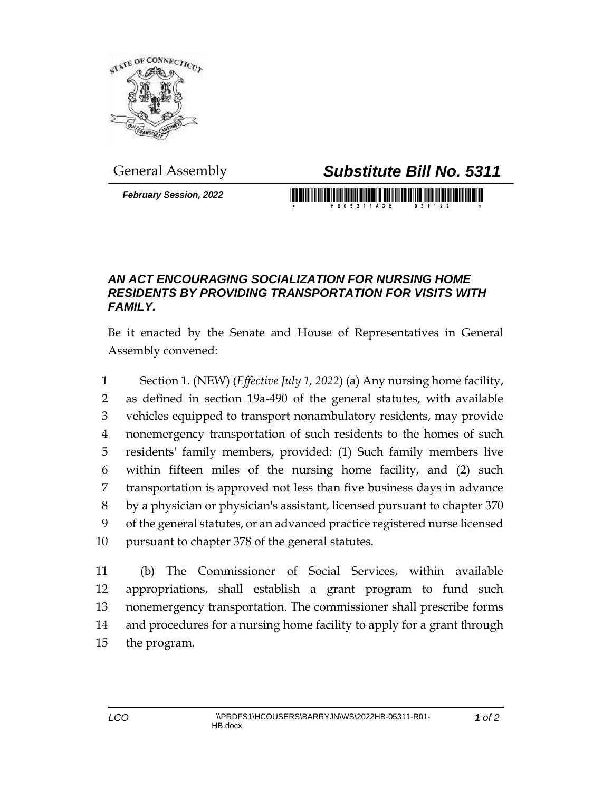

*February Session, 2022*

General Assembly *Substitute Bill No. 5311*

<u> Hilling and the state</u>

## *AN ACT ENCOURAGING SOCIALIZATION FOR NURSING HOME RESIDENTS BY PROVIDING TRANSPORTATION FOR VISITS WITH FAMILY.*

Be it enacted by the Senate and House of Representatives in General Assembly convened:

 Section 1. (NEW) (*Effective July 1, 2022*) (a) Any nursing home facility, as defined in section 19a-490 of the general statutes, with available vehicles equipped to transport nonambulatory residents, may provide nonemergency transportation of such residents to the homes of such residents' family members, provided: (1) Such family members live within fifteen miles of the nursing home facility, and (2) such transportation is approved not less than five business days in advance by a physician or physician's assistant, licensed pursuant to chapter 370 of the general statutes, or an advanced practice registered nurse licensed pursuant to chapter 378 of the general statutes.

 (b) The Commissioner of Social Services, within available appropriations, shall establish a grant program to fund such nonemergency transportation. The commissioner shall prescribe forms and procedures for a nursing home facility to apply for a grant through the program.